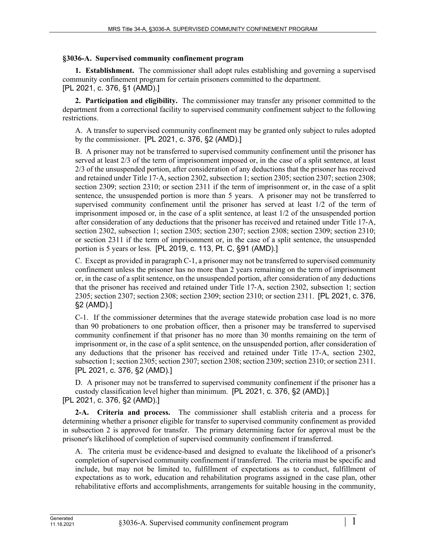#### **§3036-A. Supervised community confinement program**

**1. Establishment.** The commissioner shall adopt rules establishing and governing a supervised community confinement program for certain prisoners committed to the department. [PL 2021, c. 376, §1 (AMD).]

**2. Participation and eligibility.** The commissioner may transfer any prisoner committed to the department from a correctional facility to supervised community confinement subject to the following restrictions.

A. A transfer to supervised community confinement may be granted only subject to rules adopted by the commissioner. [PL 2021, c. 376, §2 (AMD).]

B. A prisoner may not be transferred to supervised community confinement until the prisoner has served at least 2/3 of the term of imprisonment imposed or, in the case of a split sentence, at least 2/3 of the unsuspended portion, after consideration of any deductions that the prisoner has received and retained under Title 17‑A, section 2302, subsection 1; section 2305; section 2307; section 2308; section 2309; section 2310; or section 2311 if the term of imprisonment or, in the case of a split sentence, the unsuspended portion is more than 5 years. A prisoner may not be transferred to supervised community confinement until the prisoner has served at least 1/2 of the term of imprisonment imposed or, in the case of a split sentence, at least 1/2 of the unsuspended portion after consideration of any deductions that the prisoner has received and retained under Title 17‑A, section 2302, subsection 1; section 2305; section 2307; section 2308; section 2309; section 2310; or section 2311 if the term of imprisonment or, in the case of a split sentence, the unsuspended portion is 5 years or less. [PL 2019, c. 113, Pt. C, §91 (AMD).]

C. Except as provided in paragraph C‑1, a prisoner may not be transferred to supervised community confinement unless the prisoner has no more than 2 years remaining on the term of imprisonment or, in the case of a split sentence, on the unsuspended portion, after consideration of any deductions that the prisoner has received and retained under Title 17‑A, section 2302, subsection 1; section 2305; section 2307; section 2308; section 2309; section 2310; or section 2311. [PL 2021, c. 376, §2 (AMD).]

C-1. If the commissioner determines that the average statewide probation case load is no more than 90 probationers to one probation officer, then a prisoner may be transferred to supervised community confinement if that prisoner has no more than 30 months remaining on the term of imprisonment or, in the case of a split sentence, on the unsuspended portion, after consideration of any deductions that the prisoner has received and retained under Title 17‑A, section 2302, subsection 1; section 2305; section 2307; section 2308; section 2309; section 2310; or section 2311. [PL 2021, c. 376, §2 (AMD).]

D. A prisoner may not be transferred to supervised community confinement if the prisoner has a custody classification level higher than minimum. [PL 2021, c. 376, §2 (AMD).] [PL 2021, c. 376, §2 (AMD).]

**2-A. Criteria and process.** The commissioner shall establish criteria and a process for determining whether a prisoner eligible for transfer to supervised community confinement as provided in subsection 2 is approved for transfer. The primary determining factor for approval must be the prisoner's likelihood of completion of supervised community confinement if transferred.

A. The criteria must be evidence-based and designed to evaluate the likelihood of a prisoner's completion of supervised community confinement if transferred. The criteria must be specific and include, but may not be limited to, fulfillment of expectations as to conduct, fulfillment of expectations as to work, education and rehabilitation programs assigned in the case plan, other rehabilitative efforts and accomplishments, arrangements for suitable housing in the community,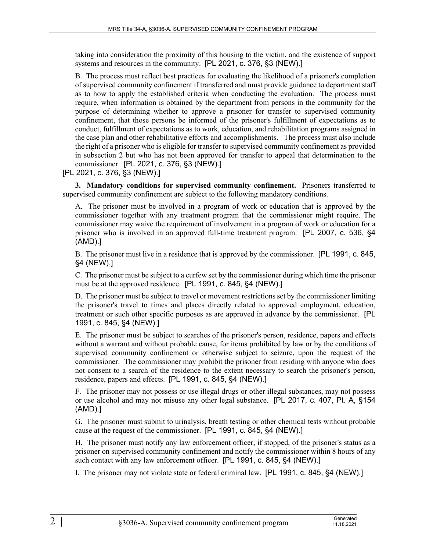taking into consideration the proximity of this housing to the victim, and the existence of support systems and resources in the community. [PL 2021, c. 376, §3 (NEW).]

B. The process must reflect best practices for evaluating the likelihood of a prisoner's completion of supervised community confinement if transferred and must provide guidance to department staff as to how to apply the established criteria when conducting the evaluation. The process must require, when information is obtained by the department from persons in the community for the purpose of determining whether to approve a prisoner for transfer to supervised community confinement, that those persons be informed of the prisoner's fulfillment of expectations as to conduct, fulfillment of expectations as to work, education, and rehabilitation programs assigned in the case plan and other rehabilitative efforts and accomplishments. The process must also include the right of a prisoner who is eligible for transfer to supervised community confinement as provided in subsection 2 but who has not been approved for transfer to appeal that determination to the commissioner. [PL 2021, c. 376, §3 (NEW).]

[PL 2021, c. 376, §3 (NEW).]

**3. Mandatory conditions for supervised community confinement.** Prisoners transferred to supervised community confinement are subject to the following mandatory conditions.

A. The prisoner must be involved in a program of work or education that is approved by the commissioner together with any treatment program that the commissioner might require. The commissioner may waive the requirement of involvement in a program of work or education for a prisoner who is involved in an approved full-time treatment program. [PL 2007, c. 536, §4 (AMD).]

B. The prisoner must live in a residence that is approved by the commissioner. [PL 1991, c. 845, §4 (NEW).]

C. The prisoner must be subject to a curfew set by the commissioner during which time the prisoner must be at the approved residence. [PL 1991, c. 845, §4 (NEW).]

D. The prisoner must be subject to travel or movement restrictions set by the commissioner limiting the prisoner's travel to times and places directly related to approved employment, education, treatment or such other specific purposes as are approved in advance by the commissioner. [PL 1991, c. 845, §4 (NEW).]

E. The prisoner must be subject to searches of the prisoner's person, residence, papers and effects without a warrant and without probable cause, for items prohibited by law or by the conditions of supervised community confinement or otherwise subject to seizure, upon the request of the commissioner. The commissioner may prohibit the prisoner from residing with anyone who does not consent to a search of the residence to the extent necessary to search the prisoner's person, residence, papers and effects. [PL 1991, c. 845, §4 (NEW).]

F. The prisoner may not possess or use illegal drugs or other illegal substances, may not possess or use alcohol and may not misuse any other legal substance. [PL 2017, c. 407, Pt. A, §154 (AMD).]

G. The prisoner must submit to urinalysis, breath testing or other chemical tests without probable cause at the request of the commissioner. [PL 1991, c. 845, §4 (NEW).]

H. The prisoner must notify any law enforcement officer, if stopped, of the prisoner's status as a prisoner on supervised community confinement and notify the commissioner within 8 hours of any such contact with any law enforcement officer. [PL 1991, c. 845, §4 (NEW).]

I. The prisoner may not violate state or federal criminal law. [PL 1991, c. 845, §4 (NEW).]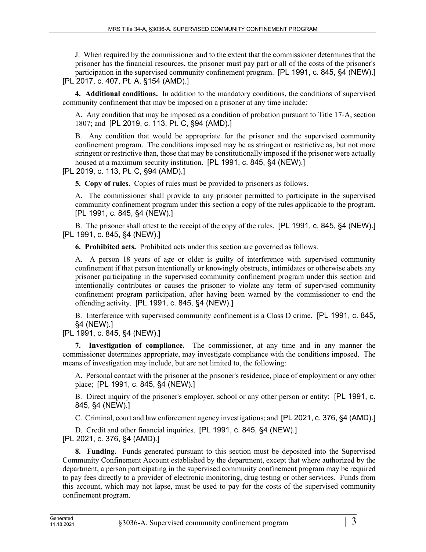J. When required by the commissioner and to the extent that the commissioner determines that the prisoner has the financial resources, the prisoner must pay part or all of the costs of the prisoner's participation in the supervised community confinement program. [PL 1991, c. 845, §4 (NEW).] [PL 2017, c. 407, Pt. A, §154 (AMD).]

**4. Additional conditions.** In addition to the mandatory conditions, the conditions of supervised community confinement that may be imposed on a prisoner at any time include:

A. Any condition that may be imposed as a condition of probation pursuant to Title 17‑A, section 1807; and [PL 2019, c. 113, Pt. C, §94 (AMD).]

B. Any condition that would be appropriate for the prisoner and the supervised community confinement program. The conditions imposed may be as stringent or restrictive as, but not more stringent or restrictive than, those that may be constitutionally imposed if the prisoner were actually housed at a maximum security institution. [PL 1991, c. 845, §4 (NEW).]

[PL 2019, c. 113, Pt. C, §94 (AMD).]

**5. Copy of rules.** Copies of rules must be provided to prisoners as follows.

A. The commissioner shall provide to any prisoner permitted to participate in the supervised community confinement program under this section a copy of the rules applicable to the program. [PL 1991, c. 845, §4 (NEW).]

B. The prisoner shall attest to the receipt of the copy of the rules. [PL 1991, c. 845, §4 (NEW).] [PL 1991, c. 845, §4 (NEW).]

**6. Prohibited acts.** Prohibited acts under this section are governed as follows.

A. A person 18 years of age or older is guilty of interference with supervised community confinement if that person intentionally or knowingly obstructs, intimidates or otherwise abets any prisoner participating in the supervised community confinement program under this section and intentionally contributes or causes the prisoner to violate any term of supervised community confinement program participation, after having been warned by the commissioner to end the offending activity. [PL 1991, c. 845, §4 (NEW).]

B. Interference with supervised community confinement is a Class D crime. [PL 1991, c. 845, §4 (NEW).]

[PL 1991, c. 845, §4 (NEW).]

**7. Investigation of compliance.** The commissioner, at any time and in any manner the commissioner determines appropriate, may investigate compliance with the conditions imposed. The means of investigation may include, but are not limited to, the following:

A. Personal contact with the prisoner at the prisoner's residence, place of employment or any other place; [PL 1991, c. 845, §4 (NEW).]

B. Direct inquiry of the prisoner's employer, school or any other person or entity; [PL 1991, c. 845, §4 (NEW).]

C. Criminal, court and law enforcement agency investigations; and [PL 2021, c. 376, §4 (AMD).]

D. Credit and other financial inquiries. [PL 1991, c. 845, §4 (NEW).] [PL 2021, c. 376, §4 (AMD).]

**8. Funding.** Funds generated pursuant to this section must be deposited into the Supervised Community Confinement Account established by the department, except that where authorized by the department, a person participating in the supervised community confinement program may be required to pay fees directly to a provider of electronic monitoring, drug testing or other services. Funds from this account, which may not lapse, must be used to pay for the costs of the supervised community confinement program.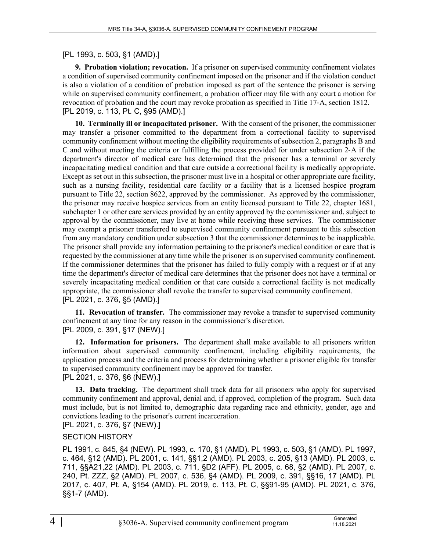### [PL 1993, c. 503, §1 (AMD).]

**9. Probation violation; revocation.** If a prisoner on supervised community confinement violates a condition of supervised community confinement imposed on the prisoner and if the violation conduct is also a violation of a condition of probation imposed as part of the sentence the prisoner is serving while on supervised community confinement, a probation officer may file with any court a motion for revocation of probation and the court may revoke probation as specified in Title 17‑A, section 1812. [PL 2019, c. 113, Pt. C, §95 (AMD).]

**10. Terminally ill or incapacitated prisoner.** With the consent of the prisoner, the commissioner may transfer a prisoner committed to the department from a correctional facility to supervised community confinement without meeting the eligibility requirements of subsection 2, paragraphs B and C and without meeting the criteria or fulfilling the process provided for under subsection 2‑A if the department's director of medical care has determined that the prisoner has a terminal or severely incapacitating medical condition and that care outside a correctional facility is medically appropriate. Except as set out in this subsection, the prisoner must live in a hospital or other appropriate care facility, such as a nursing facility, residential care facility or a facility that is a licensed hospice program pursuant to Title 22, section 8622, approved by the commissioner. As approved by the commissioner, the prisoner may receive hospice services from an entity licensed pursuant to Title 22, chapter 1681, subchapter 1 or other care services provided by an entity approved by the commissioner and, subject to approval by the commissioner, may live at home while receiving these services. The commissioner may exempt a prisoner transferred to supervised community confinement pursuant to this subsection from any mandatory condition under subsection 3 that the commissioner determines to be inapplicable. The prisoner shall provide any information pertaining to the prisoner's medical condition or care that is requested by the commissioner at any time while the prisoner is on supervised community confinement. If the commissioner determines that the prisoner has failed to fully comply with a request or if at any time the department's director of medical care determines that the prisoner does not have a terminal or severely incapacitating medical condition or that care outside a correctional facility is not medically appropriate, the commissioner shall revoke the transfer to supervised community confinement. [PL 2021, c. 376, §5 (AMD).]

**11. Revocation of transfer.** The commissioner may revoke a transfer to supervised community confinement at any time for any reason in the commissioner's discretion. [PL 2009, c. 391, §17 (NEW).]

**12. Information for prisoners.** The department shall make available to all prisoners written information about supervised community confinement, including eligibility requirements, the application process and the criteria and process for determining whether a prisoner eligible for transfer to supervised community confinement may be approved for transfer.

#### [PL 2021, c. 376, §6 (NEW).]

**13. Data tracking.** The department shall track data for all prisoners who apply for supervised community confinement and approval, denial and, if approved, completion of the program. Such data must include, but is not limited to, demographic data regarding race and ethnicity, gender, age and convictions leading to the prisoner's current incarceration.

# [PL 2021, c. 376, §7 (NEW).]

## SECTION HISTORY

PL 1991, c. 845, §4 (NEW). PL 1993, c. 170, §1 (AMD). PL 1993, c. 503, §1 (AMD). PL 1997, c. 464, §12 (AMD). PL 2001, c. 141, §§1,2 (AMD). PL 2003, c. 205, §13 (AMD). PL 2003, c. 711, §§A21,22 (AMD). PL 2003, c. 711, §D2 (AFF). PL 2005, c. 68, §2 (AMD). PL 2007, c. 240, Pt. ZZZ, §2 (AMD). PL 2007, c. 536, §4 (AMD). PL 2009, c. 391, §§16, 17 (AMD). PL 2017, c. 407, Pt. A, §154 (AMD). PL 2019, c. 113, Pt. C, §§91-95 (AMD). PL 2021, c. 376, §§1-7 (AMD).